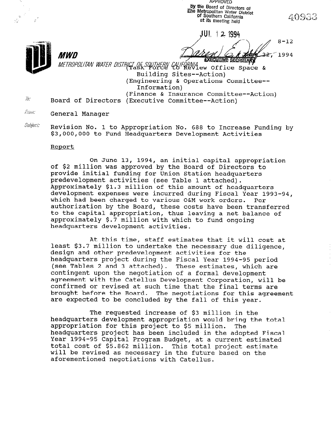APPROVED by the Board of Directors of The Metropolitan Water District<br>of Southern California at its meeting held

JUL 12 1994

 $8 - 12$  $227$ 1994

**EXECUTIVE SECRETARY** METROPOLITAN WATER DISTRICT OF SOUTHERN CALIFORMIA CONTROPOLITAN WATER DISTRICT OF SULLERN CALIFORMIA<br>Building Sites--Action) (Engineering & Operations Committee-- Information) (Finance & Insurance Committee--Action)<br>
Finance & Insurance Committee Action) Board of Directors (Executive Committee--Action)

*France* General Manager

MWD

Subject: Revision No. 1 to Appropriation No. 688 to Increase Funding by \$3,000,000 to Fund Headquarters Development Activities

#### Report

On June 13, 1994, an initial capital appropriation of \$2 million was approved by the Board of Directors to provide initial funding for Union Station headquarters predevelopment activities (see Table 1 attached). Approximately \$1.3 million of this amount of headquarters development expenses were incurred during Fiscal Year 1993-94, which had been charged to various O&M work orders. Per authorization by the Board, these costs have been transferred to the capital appropriation, thus leaving a net balance of approximately \$.7 million with which to fund ongoing headquarters development activities.

At this time, staff estimates that it will cost at least \$3.7 million to undertake the necessary due diligence, design and other predevelopment activities for the headquarters project during the Fiscal Year 1994-95 period (see Tables 2 and 3 attached). These estimates, which are contingent upon the negotiation of a formal development agreement with the Catellus Development Corporation, will be confirmed or revised at such time that the final terms are brought before the Board. The negotiations for this agreement are expected to be concluded by the fall of this year.

The requested increase of \$3 million in the headquarters development appropriation would bring the total appropriation for this project to \$5 million. The appropriation for this project to go milition. The Year 1994-95 Capital Program Budget, at a current estimated Year 1994-95 Capital Program Budget, at a current estimated<br>total cost of \$5.862 million. This total project estimate will be revised as necessary in the future based on the with be revised as necessary in the fut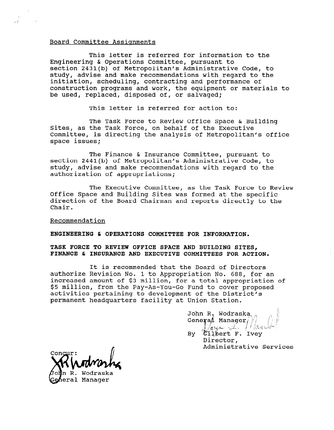#### Board Committee Assignments

This letter is referred for information to the Engineering & Operations Committee, pursuant to section 2431(b) of Metropolitan's Administrative Code, to study, advise and make recommendations with regard to the initiation, scheduling, contracting and performance of construction programs and work, the equipment or materials to be used, replaced, disposed of, or salvaged;

This letter is referred for action to:

The Task Force to Review Office Space & Building Sites, as the Task Force, on behalf of the Executive Committee, is directing the analysis of Metropolitan's office space issues;

The Finance & Insurance Committee, pursuant to section 2441(b) of Metropolitan's Administrative Code, to study, advise and make recommendations with regard to the authorization of appropriations;

The Executive Committee, as the Task Force to Review Office Space and Building Sites was formed at the specific direction of the Board Chairman and reports directly to the Chair.

#### Recommendation

ENGINEERING & OPERATIONS COMMITTEE FOR INFORMATION.

## TASK FORCE TO REVIEW OFFICE SPACE AND BUILDING SITES, FINANCE & INSURANCE AND EXECUTIVE COMMITTEES FOR ACTION.

It is recommended that the Board of Directors authorize Revision No. 1 to Appropriation No. 688, for an increased amount of \$3 million, for a total appropriation of \$5 million, from the Pay-As-You-Go Fund to cover proposed activities pertaining to development of the District's permanent headquarters facility at Union Station.

> John R. Wodraska General Manager By Gilbert F. Ivey Director,<br>Administrative Services

heral Manager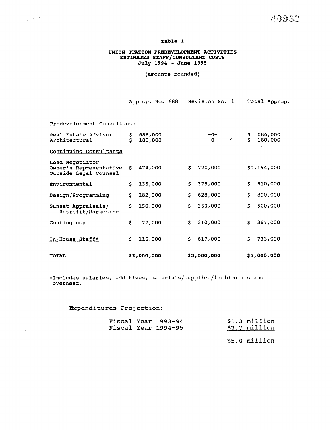40933

#### Table 1

#### UNION STATION PREDEVELOPMENT ACTIVITIES ESTIMATED STAFF/CONSULTANT COSTS July 1994 - June 1995

(amounts rounded)

|  | Approp. No. 688 Revision No. 1 |  | Total Approp. |
|--|--------------------------------|--|---------------|
|  |                                |  |               |

Predevelopment Consultants

| Real Estate Advisor<br>Architectural                               | s<br>S | 686,000<br>180,000 |    | $-0-$<br>$-0-$<br>у | \$<br>Š | 686,000<br>180,000 |
|--------------------------------------------------------------------|--------|--------------------|----|---------------------|---------|--------------------|
| Continuing Consultants                                             |        |                    |    |                     |         |                    |
| Lead Negotiator<br>Owner's Representative<br>Outside Legal Counsel | s      | 474,000            | S. | 720,000             |         | \$1,194,000        |
| Environmental                                                      | s      | 135,000            | S. | 375,000             | S.      | 510,000            |
| Design/Programming                                                 | \$     | 182,000            | S. | 628,000             | S.      | 810,000            |
| Sunset Appraisals/<br>Retrofit/Marketing                           | \$     | 150,000            | S. | 350,000             | \$      | 500,000            |
| Contingency                                                        | \$     | 77,000             | S. | 310,000             | S.      | 387,000            |
| In-House Staff*                                                    | \$.    | 116,000            | S. | 617,000             | s       | 733,000            |
| <b>TOTAL</b>                                                       |        | \$2,000,000        |    | \$3,000,000         |         | \$5,000,000        |

\*Includes salaries, additives, materials/supplies/incidentals and overhead.

# Expenditures Projection:

|  | Fiscal Year 1993-94<br>Fiscal Year 1994-95 | $$1.3$ million<br>$$3.7$ million |
|--|--------------------------------------------|----------------------------------|
|  |                                            |                                  |

\$5.0 million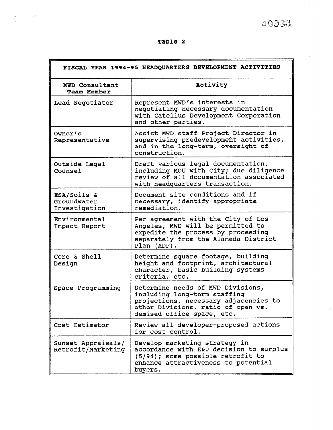40933

| <br>٧ |  |
|-------|--|
|-------|--|

 $\frac{1}{2}$ 

 $\tilde{\xi}^{(0)}$  as

| FISCAL YEAR 1994-95 HEADQUARTERS DEVELOPMENT ACTIVITIES |                                                                                                                                                                                |  |  |  |
|---------------------------------------------------------|--------------------------------------------------------------------------------------------------------------------------------------------------------------------------------|--|--|--|
| MWD Consultant<br><b>Team Member</b>                    | Activity                                                                                                                                                                       |  |  |  |
| Lead Negotiator                                         | Represent MWD's interests in<br>negotiating necessary documentation<br>with Catellus Development Corporation<br>and other parties.                                             |  |  |  |
| Owner's<br>Representative                               | Assist MWD staff Project Director in<br>supervising predevelopment activities,<br>and in the long-term, oversight of<br>construction.                                          |  |  |  |
| Outside Legal<br>Counsel                                | Draft various legal documentation,<br>including MOU with City; due diligence<br>review of all documentation associated<br>with headquarters transaction.                       |  |  |  |
| ESA/Soils &<br>Groundwater<br>Investigation             | Document site conditions and if<br>necessary, identify appropriate<br>remediation.                                                                                             |  |  |  |
| Environmental<br>Impact Report                          | Per agreement with the City of Los<br>Angeles, MWD will be permitted to<br>expedite the process by proceeding<br>separately from the Alameda District<br>Plan (ADP).           |  |  |  |
| Core & Shell<br>Design                                  | Determine square footage, building<br>height and footprint, architectural<br>character, basic building systems<br>criteria, etc.                                               |  |  |  |
| Space Programming                                       | Determine needs of MWD Divisions,<br>including long-term staffing<br>projections, necessary adjacencies to<br>other Divisions, ratio of open vs.<br>demised office space, etc. |  |  |  |
| Cost Estimator                                          | Review all developer-proposed actions<br>for cost control.                                                                                                                     |  |  |  |
| Sunset Appraisals/<br>Retrofit/Marketing                | Develop marketing strategy in<br>accordance with E&O decision to surplus<br>(5/94); some possible retrofit to<br>enhance attractiveness to potential<br>buyers.                |  |  |  |